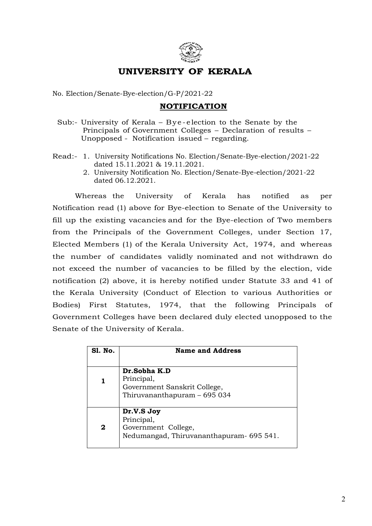

## UNIVERSITY OF KERALA

No. Election/Senate-Bye-election/G-P/2021-22

## NOTIFICATION

- Sub:- University of Kerala Bye-election to the Senate by the Principals of Government Colleges – Declaration of results – **UNIVERSITY OF KERALA**<br>
No. Election/Senate-Bye-election/G-P/2021-22<br> **NOTIFICATION**<br>
Sub:- University of Kerala – Bye-election to the Senate by the<br>
Principals of Government Colleges – Declaration of results –<br>
Unopposed
- Read:- 1. University Notifications No. Election/Senate-Bye-election/2021-22 dated 15.11.2021 & 19.11.2021.
	- 2. University Notification No. Election/Senate-Bye-election/2021-22 dated 06.12.2021.

Whereas the University of Kerala has notified as per Notification read (1) above for Bye-election to Senate of the University to fill up the existing vacancies and for the Bye-election of Two members from the Principals of the Government Colleges, under Section 17, Elected Members (1) of the Kerala University Act, 1974, and whereas the number of candidates validly nominated and not withdrawn do not exceed the number of vacancies to be filled by the election, vide notification (2) above, it is hereby notified under Statute 33 and 41 of the Kerala University (Conduct of Election to various Authorities or Bodies) First Statutes, 1974, that the following Principals of Government Colleges have been declared duly elected unopposed to the Senate of the University of Kerala.

| <b>S1. No.</b> | <b>Name and Address</b>                                                                      |
|----------------|----------------------------------------------------------------------------------------------|
|                | Dr.Sobha K.D<br>Principal,<br>Government Sanskrit College,<br>Thiruvananthapuram - 695 034   |
| 2              | Dr.V.S Joy<br>Principal,<br>Government College,<br>Nedumangad, Thiruvananthapuram - 695 541. |